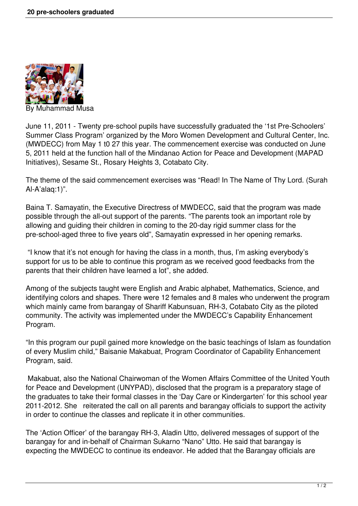

Muhammad Musa

June 11, 2011 - Twenty pre-school pupils have successfully graduated the '1st Pre-Schoolers' Summer Class Program' organized by the Moro Women Development and Cultural Center, Inc. (MWDECC) from May 1 t0 27 this year. The commencement exercise was conducted on June 5, 2011 held at the function hall of the Mindanao Action for Peace and Development (MAPAD Initiatives), Sesame St., Rosary Heights 3, Cotabato City.

The theme of the said commencement exercises was "Read! In The Name of Thy Lord. (Surah Al-A'alaq:1)".

Baina T. Samayatin, the Executive Directress of MWDECC, said that the program was made possible through the all-out support of the parents. "The parents took an important role by allowing and guiding their children in coming to the 20-day rigid summer class for the pre-school-aged three to five years old", Samayatin expressed in her opening remarks.

 "I know that it's not enough for having the class in a month, thus, I'm asking everybody's support for us to be able to continue this program as we received good feedbacks from the parents that their children have learned a lot", she added.

Among of the subjects taught were English and Arabic alphabet, Mathematics, Science, and identifying colors and shapes. There were 12 females and 8 males who underwent the program which mainly came from barangay of Shariff Kabunsuan, RH-3, Cotabato City as the piloted community. The activity was implemented under the MWDECC's Capability Enhancement Program.

"In this program our pupil gained more knowledge on the basic teachings of Islam as foundation of every Muslim child," Baisanie Makabuat, Program Coordinator of Capability Enhancement Program, said.

 Makabuat, also the National Chairwoman of the Women Affairs Committee of the United Youth for Peace and Development (UNYPAD), disclosed that the program is a preparatory stage of the graduates to take their formal classes in the 'Day Care or Kindergarten' for this school year 2011-2012. She reiterated the call on all parents and barangay officials to support the activity in order to continue the classes and replicate it in other communities.

The 'Action Officer' of the barangay RH-3, Aladin Utto, delivered messages of support of the barangay for and in-behalf of Chairman Sukarno "Nano" Utto. He said that barangay is expecting the MWDECC to continue its endeavor. He added that the Barangay officials are